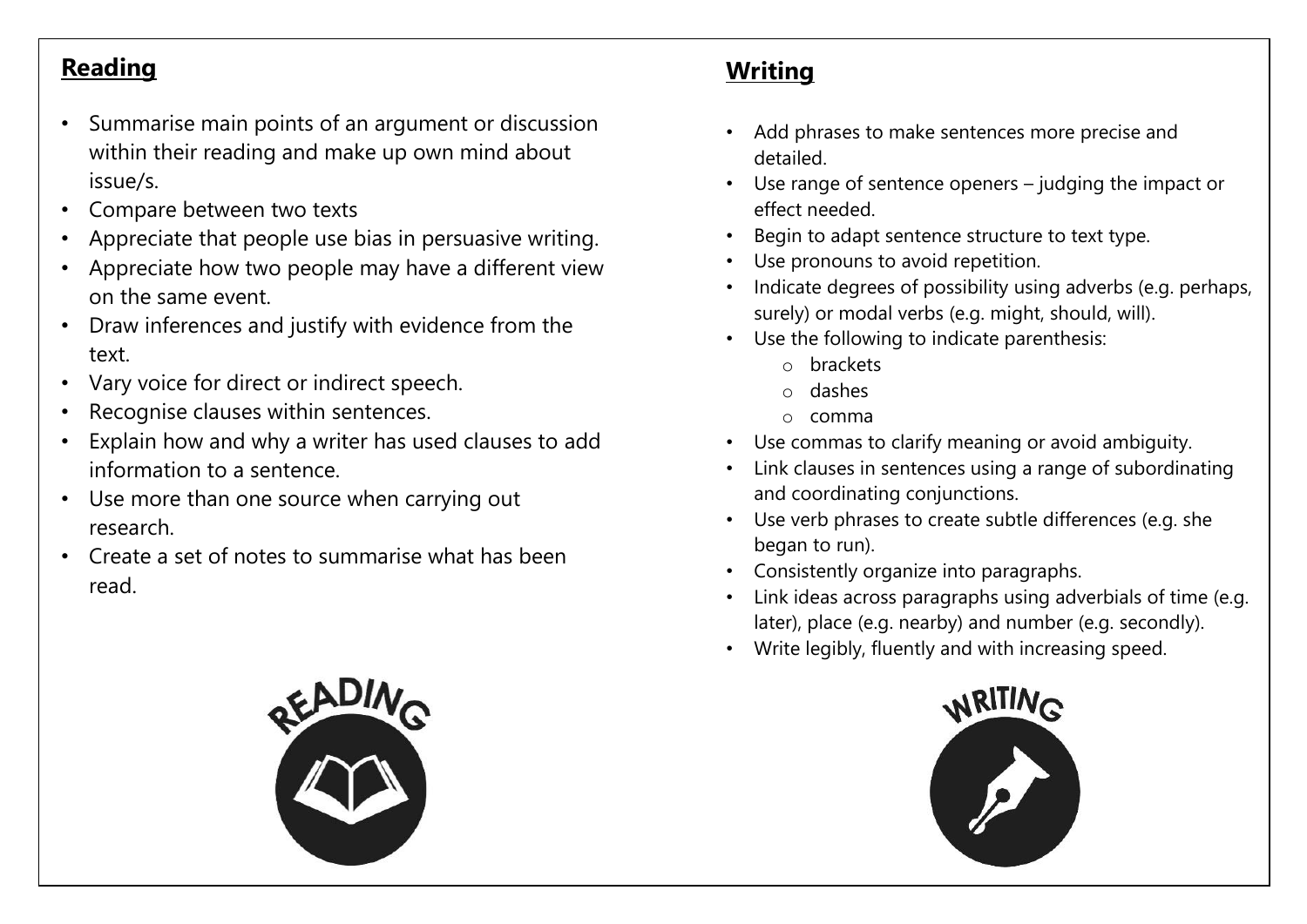## **Reading**

- Summarise main points of an argument or discussion within their reading and make up own mind about issue/s.
- Compare between two texts
- Appreciate that people use bias in persuasive writing.
- Appreciate how two people may have a different view on the same event.
- Draw inferences and justify with evidence from the text.
- Vary voice for direct or indirect speech.
- Recognise clauses within sentences.
- Explain how and why a writer has used clauses to add information to a sentence.
- Use more than one source when carrying out research.
- Create a set of notes to summarise what has been read.



## **Writing**

- Add phrases to make sentences more precise and detailed.
- Use range of sentence openers judging the impact or effect needed.
- Begin to adapt sentence structure to text type.
- Use pronouns to avoid repetition.
- Indicate degrees of possibility using adverbs (e.g. perhaps, surely) or modal verbs (e.g. might, should, will).
- Use the following to indicate parenthesis:
	- o brackets
	- o dashes
	- o comma
- Use commas to clarify meaning or avoid ambiguity.
- Link clauses in sentences using a range of subordinating and coordinating conjunctions.
- Use verb phrases to create subtle differences (e.g. she began to run).
- Consistently organize into paragraphs.
- Link ideas across paragraphs using adverbials of time (e.g. later), place (e.g. nearby) and number (e.g. secondly).
- Write legibly, fluently and with increasing speed.